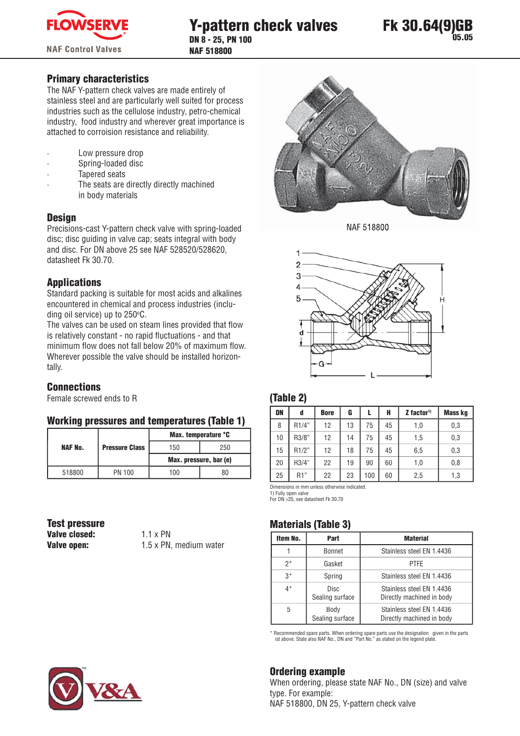



## **Primary characteristics**

The NAF Y-pattern check valves are made entirely of stainless steel and are particularly well suited for process industries such as the cellulose industry, petro-chemical industry, food industry and wherever great importance is attached to corroision resistance and reliability.

- Low pressure drop
- Spring-loaded disc
- **Tapered seats**
- The seats are directly directly machined in body materials

### **Design**

Precisions-cast Y-pattern check valve with spring-loaded disc; disc guiding in valve cap; seats integral with body and disc. For DN above 25 see NAF 528520/528620, datasheet Fk 30.70.

## **Applications**

Standard packing is suitable for most acids and alkalines encountered in chemical and process industries (including oil service) up to 250°C.

The valves can be used on steam lines provided that flow is relatively constant - no rapid fluctuations - and that minimum flow does not fall below 20% of maximum flow. Wherever possible the valve should be installed horizontally.

#### **Connections**

Female screwed ends to R

#### **Working pressures and temperatures (Table 1)**

|                |                       | Max. temperature °C    |     |  |
|----------------|-----------------------|------------------------|-----|--|
| <b>NAF No.</b> | <b>Pressure Class</b> | 150                    | 250 |  |
|                |                       | Max. pressure, bar (e) |     |  |
| 518800         | PN 100                | 100                    | 80  |  |

**Test pressure** Valve closed: **Valve open:** 

 $1.1 \times PN$ 1.5 x PN, medium water



NAF 518800



#### (Table 2)

| DN | d                  | <b>Bore</b> | G  |     | H  | $Z$ factor <sup>1)</sup> | <b>Mass kg</b> |
|----|--------------------|-------------|----|-----|----|--------------------------|----------------|
| 8  | R1/4"              | 12          | 13 | 75  | 45 | 1,0                      | 0,3            |
| 10 | R3/8"              | 12          | 14 | 75  | 45 | 1,5                      | 0,3            |
| 15 | R <sub>1</sub> /2" | 12          | 18 | 75  | 45 | 6,5                      | 0,3            |
| 20 | R3/4"              | 22          | 19 | 90  | 60 | 1,0                      | 0,8            |
| 25 | R1"                | 22          | 23 | 100 | 60 | 2,5                      | 1,3            |

Dimensions in mm unless otherwise indicated.

1) Fully open valve For DN 525, see datasheet Fk 30.70

#### **Materials (Table 3)**

| Item No. | Part                           | <b>Material</b>                                        |  |  |
|----------|--------------------------------|--------------------------------------------------------|--|--|
|          | Bonnet                         | Stainless steel EN 1.4436                              |  |  |
| 2*       | Gasket                         | <b>PTFE</b>                                            |  |  |
| $3*$     | Spring                         | Stainless steel EN 1.4436                              |  |  |
| $4^*$    | <b>Disc</b><br>Sealing surface | Stainless steel EN 1.4436<br>Directly machined in body |  |  |
| 5        | Body<br>Sealing surface        | Stainless steel EN 1.4436<br>Directly machined in body |  |  |

Recommended spare parts. When ordering spare parts use the designation given in the parts<br>ist above. State also NAF No.. DN and "Part No." as stated on the legend plate.

# **Ordering example**

When ordering, please state NAF No., DN (size) and valve type. For example: NAF 518800, DN 25, Y-pattern check valve